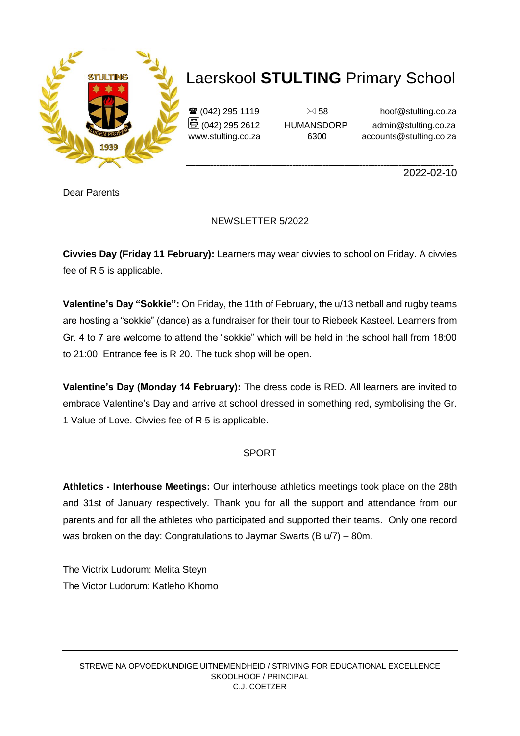

# Laerskool **STULTING** Primary School

 $\mathbf{\widehat{a}}$  (042) 295 1119  $\Box$  58 hoof@stulting.co.za  $\bigcirc$  (042) 295 2612 HUMANSDORP admin@stulting.co.za www.stulting.co.za 6300 accounts@stulting.co.za

**\_\_\_\_\_\_\_\_\_\_\_\_\_\_\_\_\_\_\_\_\_\_\_\_\_\_\_\_\_\_\_\_\_\_\_\_\_\_\_\_\_\_\_\_\_\_\_\_\_\_\_\_\_\_\_\_\_\_\_\_\_\_\_\_\_\_\_\_\_\_\_\_\_\_\_\_\_\_\_\_\_\_\_\_\_\_\_\_** 2022-02-10

Dear Parents

### NEWSLETTER 5/2022

**Civvies Day (Friday 11 February):** Learners may wear civvies to school on Friday. A civvies fee of R 5 is applicable.

**Valentine's Day "Sokkie":** On Friday, the 11th of February, the u/13 netball and rugby teams are hosting a "sokkie" (dance) as a fundraiser for their tour to Riebeek Kasteel. Learners from Gr. 4 to 7 are welcome to attend the "sokkie" which will be held in the school hall from 18:00 to 21:00. Entrance fee is R 20. The tuck shop will be open.

**Valentine's Day (Monday 14 February):** The dress code is RED. All learners are invited to embrace Valentine's Day and arrive at school dressed in something red, symbolising the Gr. 1 Value of Love. Civvies fee of R 5 is applicable.

#### SPORT

**Athletics - Interhouse Meetings:** Our interhouse athletics meetings took place on the 28th and 31st of January respectively. Thank you for all the support and attendance from our parents and for all the athletes who participated and supported their teams. Only one record was broken on the day: Congratulations to Jaymar Swarts (B u/7) – 80m.

The Victrix Ludorum: Melita Steyn The Victor Ludorum: Katleho Khomo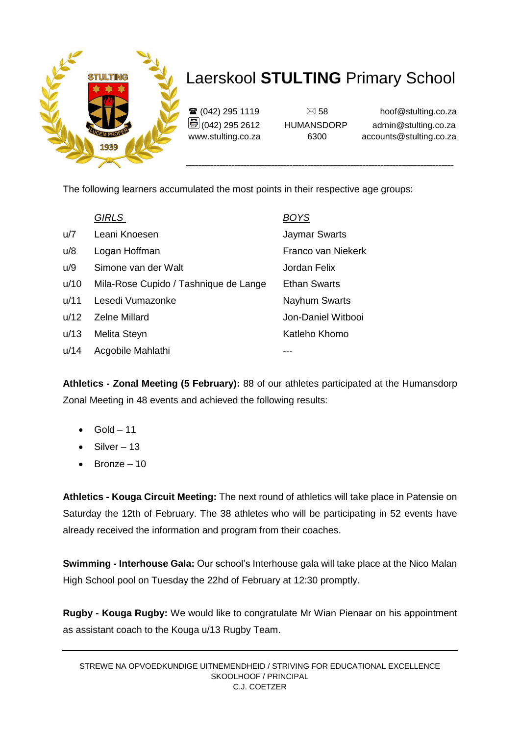

# Laerskool **STULTING** Primary School

 $\mathbf{\widehat{a}}$  (042) 295 1119  $\Box$  58 hoof@stulting.co.za  $\bigcirc$  (042) 295 2612 HUMANSDORP admin@stulting.co.za www.stulting.co.za 6300 accounts@stulting.co.za

The following learners accumulated the most points in their respective age groups:

|      | <b>GIRLS</b>                          | <u>BOYS</u>          |
|------|---------------------------------------|----------------------|
| u/7  | Leani Knoesen                         | <b>Jaymar Swarts</b> |
| u/8  | Logan Hoffman                         | Franco van Niekerk   |
| u/9  | Simone van der Walt                   | Jordan Felix         |
| u/10 | Mila-Rose Cupido / Tashnique de Lange | <b>Ethan Swarts</b>  |
| u/11 | Lesedi Vumazonke                      | <b>Nayhum Swarts</b> |
| u/12 | <b>Zelne Millard</b>                  | Jon-Daniel Witbooi   |
| u/13 | Melita Steyn                          | Katleho Khomo        |
| u/14 | Acgobile Mahlathi                     |                      |

**Athletics - Zonal Meeting (5 February):** 88 of our athletes participated at the Humansdorp Zonal Meeting in 48 events and achieved the following results:

- Gold 11
- $\bullet$  Silver 13
- Bronze 10

**Athletics - Kouga Circuit Meeting:** The next round of athletics will take place in Patensie on Saturday the 12th of February. The 38 athletes who will be participating in 52 events have already received the information and program from their coaches.

**Swimming - Interhouse Gala:** Our school's Interhouse gala will take place at the Nico Malan High School pool on Tuesday the 22hd of February at 12:30 promptly.

**Rugby - Kouga Rugby:** We would like to congratulate Mr Wian Pienaar on his appointment as assistant coach to the Kouga u/13 Rugby Team.